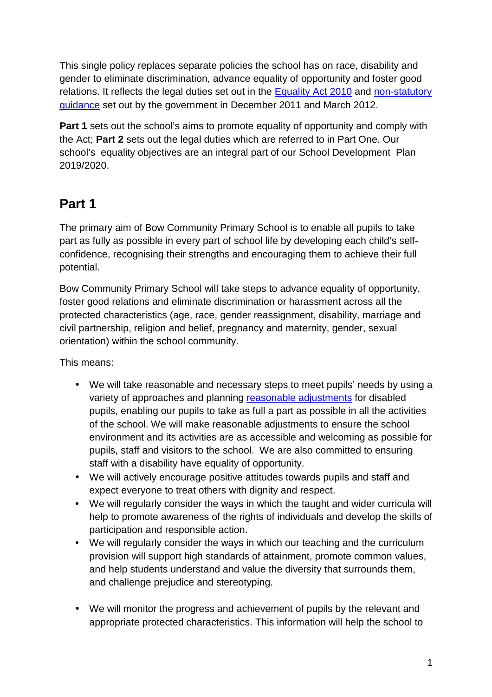This single policy replaces separate policies the school has on race, disability and gender to eliminate discrimination, advance equality of opportunity and foster good relations. It reflects the legal duties set out in the **Equality Act 2010** and non-statutory guidance set out by the government in December 2011 and March 2012.

**Part 1** sets out the school's aims to promote equality of opportunity and comply with the Act; **Part 2** sets out the legal duties which are referred to in Part One. Our school's equality objectives are an integral part of our School Development Plan 2019/2020.

# **Part 1**

The primary aim of Bow Community Primary School is to enable all pupils to take part as fully as possible in every part of school life by developing each child's selfconfidence, recognising their strengths and encouraging them to achieve their full potential.

Bow Community Primary School will take steps to advance equality of opportunity, foster good relations and eliminate discrimination or harassment across all the protected characteristics (age, race, gender reassignment, disability, marriage and civil partnership, religion and belief, pregnancy and maternity, gender, sexual orientation) within the school community.

This means:

- We will take reasonable and necessary steps to meet pupils' needs by using a variety of approaches and planning reasonable adjustments for disabled pupils, enabling our pupils to take as full a part as possible in all the activities of the school. We will make reasonable adjustments to ensure the school environment and its activities are as accessible and welcoming as possible for pupils, staff and visitors to the school. We are also committed to ensuring staff with a disability have equality of opportunity.
- We will actively encourage positive attitudes towards pupils and staff and expect everyone to treat others with dignity and respect.
- We will regularly consider the ways in which the taught and wider curricula will help to promote awareness of the rights of individuals and develop the skills of participation and responsible action.
- We will regularly consider the ways in which our teaching and the curriculum provision will support high standards of attainment, promote common values, and help students understand and value the diversity that surrounds them, and challenge prejudice and stereotyping.
- We will monitor the progress and achievement of pupils by the relevant and appropriate protected characteristics. This information will help the school to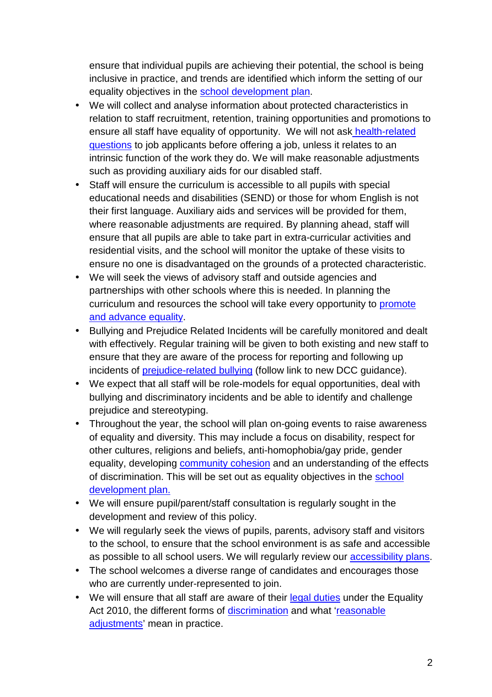ensure that individual pupils are achieving their potential, the school is being inclusive in practice, and trends are identified which inform the setting of our equality objectives in the school development plan.

- We will collect and analyse information about protected characteristics in relation to staff recruitment, retention, training opportunities and promotions to ensure all staff have equality of opportunity. We will not ask health-related questions to job applicants before offering a job, unless it relates to an intrinsic function of the work they do. We will make reasonable adjustments such as providing auxiliary aids for our disabled staff.
- Staff will ensure the curriculum is accessible to all pupils with special educational needs and disabilities (SEND) or those for whom English is not their first language. Auxiliary aids and services will be provided for them, where reasonable adjustments are required. By planning ahead, staff will ensure that all pupils are able to take part in extra-curricular activities and residential visits, and the school will monitor the uptake of these visits to ensure no one is disadvantaged on the grounds of a protected characteristic.
- We will seek the views of advisory staff and outside agencies and partnerships with other schools where this is needed. In planning the curriculum and resources the school will take every opportunity to promote and advance equality.
- Bullying and Prejudice Related Incidents will be carefully monitored and dealt with effectively. Regular training will be given to both existing and new staff to ensure that they are aware of the process for reporting and following up incidents of prejudice-related bullying (follow link to new DCC guidance).
- We expect that all staff will be role-models for equal opportunities, deal with bullying and discriminatory incidents and be able to identify and challenge prejudice and stereotyping.
- Throughout the year, the school will plan on-going events to raise awareness of equality and diversity. This may include a focus on disability, respect for other cultures, religions and beliefs, anti-homophobia/gay pride, gender equality, developing community cohesion and an understanding of the effects of discrimination. This will be set out as equality objectives in the school development plan.
- We will ensure pupil/parent/staff consultation is regularly sought in the development and review of this policy.
- We will regularly seek the views of pupils, parents, advisory staff and visitors to the school, to ensure that the school environment is as safe and accessible as possible to all school users. We will regularly review our accessibility plans.
- The school welcomes a diverse range of candidates and encourages those who are currently under-represented to join.
- We will ensure that all staff are aware of their legal duties under the Equality Act 2010, the different forms of discrimination and what 'reasonable adjustments' mean in practice.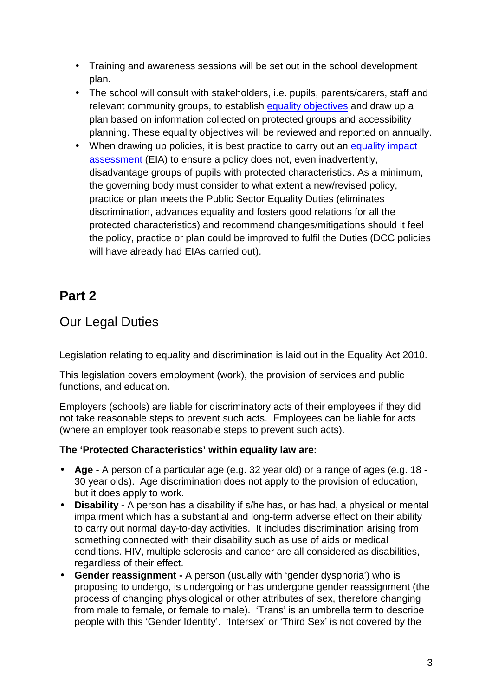- Training and awareness sessions will be set out in the school development plan.
- The school will consult with stakeholders, i.e. pupils, parents/carers, staff and relevant community groups, to establish equality objectives and draw up a plan based on information collected on protected groups and accessibility planning. These equality objectives will be reviewed and reported on annually.
- When drawing up policies, it is best practice to carry out an equality impact assessment (EIA) to ensure a policy does not, even inadvertently, disadvantage groups of pupils with protected characteristics. As a minimum, the governing body must consider to what extent a new/revised policy, practice or plan meets the Public Sector Equality Duties (eliminates discrimination, advances equality and fosters good relations for all the protected characteristics) and recommend changes/mitigations should it feel the policy, practice or plan could be improved to fulfil the Duties (DCC policies will have already had EIAs carried out).

## **Part 2**

### Our Legal Duties

Legislation relating to equality and discrimination is laid out in the Equality Act 2010.

This legislation covers employment (work), the provision of services and public functions, and education.

Employers (schools) are liable for discriminatory acts of their employees if they did not take reasonable steps to prevent such acts. Employees can be liable for acts (where an employer took reasonable steps to prevent such acts).

### **The 'Protected Characteristics' within equality law are:**

- **Age** A person of a particular age (e.g. 32 year old) or a range of ages (e.g. 18 30 year olds). Age discrimination does not apply to the provision of education, but it does apply to work.
- **Disability** A person has a disability if s/he has, or has had, a physical or mental impairment which has a substantial and long-term adverse effect on their ability to carry out normal day-to-day activities. It includes discrimination arising from something connected with their disability such as use of aids or medical conditions. HIV, multiple sclerosis and cancer are all considered as disabilities, regardless of their effect.
- **Gender reassignment** A person (usually with 'gender dysphoria') who is proposing to undergo, is undergoing or has undergone gender reassignment (the process of changing physiological or other attributes of sex, therefore changing from male to female, or female to male). 'Trans' is an umbrella term to describe people with this 'Gender Identity'. 'Intersex' or 'Third Sex' is not covered by the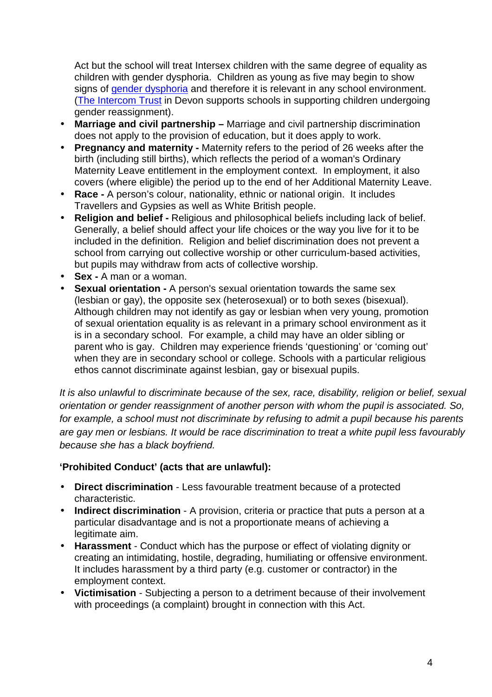Act but the school will treat Intersex children with the same degree of equality as children with gender dysphoria. Children as young as five may begin to show signs of gender dysphoria and therefore it is relevant in any school environment. (The Intercom Trust in Devon supports schools in supporting children undergoing gender reassignment).

- **Marriage and civil partnership** Marriage and civil partnership discrimination does not apply to the provision of education, but it does apply to work.
- **Pregnancy and maternity** Maternity refers to the period of 26 weeks after the birth (including still births), which reflects the period of a woman's Ordinary Maternity Leave entitlement in the employment context. In employment, it also covers (where eligible) the period up to the end of her Additional Maternity Leave.
- **Race** A person's colour, nationality, ethnic or national origin. It includes Travellers and Gypsies as well as White British people.
- **Religion and belief** Religious and philosophical beliefs including lack of belief. Generally, a belief should affect your life choices or the way you live for it to be included in the definition. Religion and belief discrimination does not prevent a school from carrying out collective worship or other curriculum-based activities, but pupils may withdraw from acts of collective worship.
- **Sex** A man or a woman.
- **Sexual orientation** A person's sexual orientation towards the same sex (lesbian or gay), the opposite sex (heterosexual) or to both sexes (bisexual). Although children may not identify as gay or lesbian when very young, promotion of sexual orientation equality is as relevant in a primary school environment as it is in a secondary school. For example, a child may have an older sibling or parent who is gay. Children may experience friends 'questioning' or 'coming out' when they are in secondary school or college. Schools with a particular religious ethos cannot discriminate against lesbian, gay or bisexual pupils.

It is also unlawful to discriminate because of the sex, race, disability, religion or belief, sexual orientation or gender reassignment of another person with whom the pupil is associated. So, for example, a school must not discriminate by refusing to admit a pupil because his parents are gay men or lesbians. It would be race discrimination to treat a white pupil less favourably because she has a black boyfriend.

### **'Prohibited Conduct' (acts that are unlawful):**

- **Direct discrimination** Less favourable treatment because of a protected characteristic.
- **Indirect discrimination** A provision, criteria or practice that puts a person at a particular disadvantage and is not a proportionate means of achieving a legitimate aim.
- **Harassment**  Conduct which has the purpose or effect of violating dignity or creating an intimidating, hostile, degrading, humiliating or offensive environment. It includes harassment by a third party (e.g. customer or contractor) in the employment context.
- **Victimisation** Subjecting a person to a detriment because of their involvement with proceedings (a complaint) brought in connection with this Act.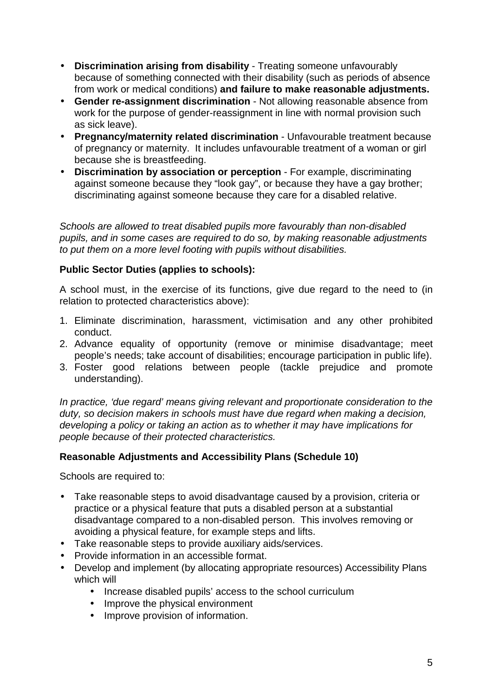- **Discrimination arising from disability**  Treating someone unfavourably because of something connected with their disability (such as periods of absence from work or medical conditions) **and failure to make reasonable adjustments.**
- **Gender re-assignment discrimination**  Not allowing reasonable absence from work for the purpose of gender-reassignment in line with normal provision such as sick leave).
- **Pregnancy/maternity related discrimination**  Unfavourable treatment because of pregnancy or maternity. It includes unfavourable treatment of a woman or girl because she is breastfeeding.
- **Discrimination by association or perception** For example, discriminating against someone because they "look gay", or because they have a gay brother; discriminating against someone because they care for a disabled relative.

Schools are allowed to treat disabled pupils more favourably than non-disabled pupils, and in some cases are required to do so, by making reasonable adjustments to put them on a more level footing with pupils without disabilities.

### **Public Sector Duties (applies to schools):**

A school must, in the exercise of its functions, give due regard to the need to (in relation to protected characteristics above):

- 1. Eliminate discrimination, harassment, victimisation and any other prohibited conduct.
- 2. Advance equality of opportunity (remove or minimise disadvantage; meet people's needs; take account of disabilities; encourage participation in public life).
- 3. Foster good relations between people (tackle prejudice and promote understanding).

In practice, 'due regard' means giving relevant and proportionate consideration to the duty, so decision makers in schools must have due regard when making a decision, developing a policy or taking an action as to whether it may have implications for people because of their protected characteristics.

### **Reasonable Adjustments and Accessibility Plans (Schedule 10)**

Schools are required to:

- Take reasonable steps to avoid disadvantage caused by a provision, criteria or practice or a physical feature that puts a disabled person at a substantial disadvantage compared to a non-disabled person. This involves removing or avoiding a physical feature, for example steps and lifts.
- Take reasonable steps to provide auxiliary aids/services.
- Provide information in an accessible format.
- Develop and implement (by allocating appropriate resources) Accessibility Plans which will
	- Increase disabled pupils' access to the school curriculum
	- Improve the physical environment
	- Improve provision of information.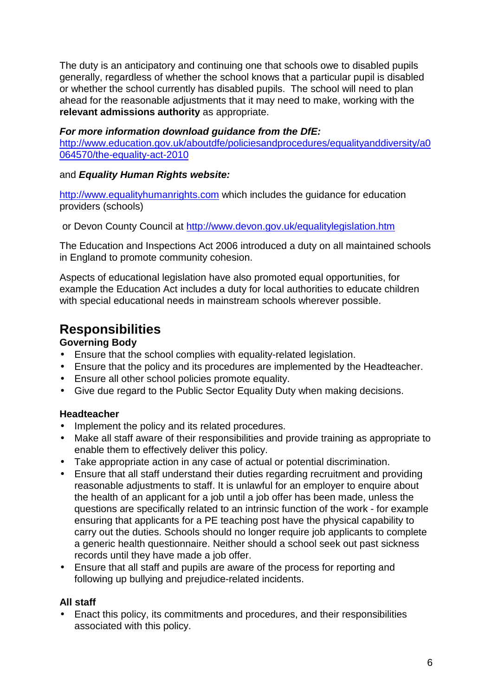The duty is an anticipatory and continuing one that schools owe to disabled pupils generally, regardless of whether the school knows that a particular pupil is disabled or whether the school currently has disabled pupils. The school will need to plan ahead for the reasonable adjustments that it may need to make, working with the **relevant admissions authority** as appropriate.

### **For more information download guidance from the DfE:**

http://www.education.gov.uk/aboutdfe/policiesandprocedures/equalityanddiversity/a0 064570/the-equality-act-2010

### and **Equality Human Rights website:**

http://www.equalityhumanrights.com which includes the guidance for education providers (schools)

or Devon County Council at http://www.devon.gov.uk/equalitylegislation.htm

The Education and Inspections Act 2006 introduced a duty on all maintained schools in England to promote community cohesion.

Aspects of educational legislation have also promoted equal opportunities, for example the Education Act includes a duty for local authorities to educate children with special educational needs in mainstream schools wherever possible.

### **Responsibilities**

### **Governing Body**

- Ensure that the school complies with equality-related legislation.
- Ensure that the policy and its procedures are implemented by the Headteacher.
- Ensure all other school policies promote equality.
- Give due regard to the Public Sector Equality Duty when making decisions.

### **Headteacher**

- Implement the policy and its related procedures.
- Make all staff aware of their responsibilities and provide training as appropriate to enable them to effectively deliver this policy.
- Take appropriate action in any case of actual or potential discrimination.
- Ensure that all staff understand their duties regarding recruitment and providing reasonable adjustments to staff. It is unlawful for an employer to enquire about the health of an applicant for a job until a job offer has been made, unless the questions are specifically related to an intrinsic function of the work - for example ensuring that applicants for a PE teaching post have the physical capability to carry out the duties. Schools should no longer require job applicants to complete a generic health questionnaire. Neither should a school seek out past sickness records until they have made a job offer.
- Ensure that all staff and pupils are aware of the process for reporting and following up bullying and prejudice-related incidents.

### **All staff**

• Enact this policy, its commitments and procedures, and their responsibilities associated with this policy.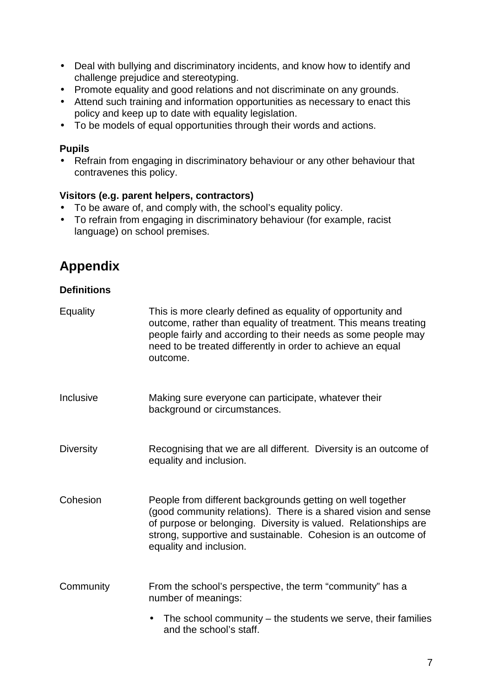- Deal with bullying and discriminatory incidents, and know how to identify and challenge prejudice and stereotyping.
- Promote equality and good relations and not discriminate on any grounds.
- Attend such training and information opportunities as necessary to enact this policy and keep up to date with equality legislation.
- To be models of equal opportunities through their words and actions.

#### **Pupils**

• Refrain from engaging in discriminatory behaviour or any other behaviour that contravenes this policy.

### **Visitors (e.g. parent helpers, contractors)**

- To be aware of, and comply with, the school's equality policy.
- To refrain from engaging in discriminatory behaviour (for example, racist language) on school premises.

## **Appendix**

#### **Definitions**

| <b>Equality</b>  | This is more clearly defined as equality of opportunity and<br>outcome, rather than equality of treatment. This means treating<br>people fairly and according to their needs as some people may<br>need to be treated differently in order to achieve an equal<br>outcome.                  |
|------------------|---------------------------------------------------------------------------------------------------------------------------------------------------------------------------------------------------------------------------------------------------------------------------------------------|
| Inclusive        | Making sure everyone can participate, whatever their<br>background or circumstances.                                                                                                                                                                                                        |
| <b>Diversity</b> | Recognising that we are all different. Diversity is an outcome of<br>equality and inclusion.                                                                                                                                                                                                |
| Cohesion         | People from different backgrounds getting on well together<br>(good community relations). There is a shared vision and sense<br>of purpose or belonging. Diversity is valued. Relationships are<br>strong, supportive and sustainable. Cohesion is an outcome of<br>equality and inclusion. |
| Community        | From the school's perspective, the term "community" has a<br>number of meanings:                                                                                                                                                                                                            |
|                  | The school community $-$ the students we serve, their families<br>$\bullet$<br>and the school's staff.                                                                                                                                                                                      |